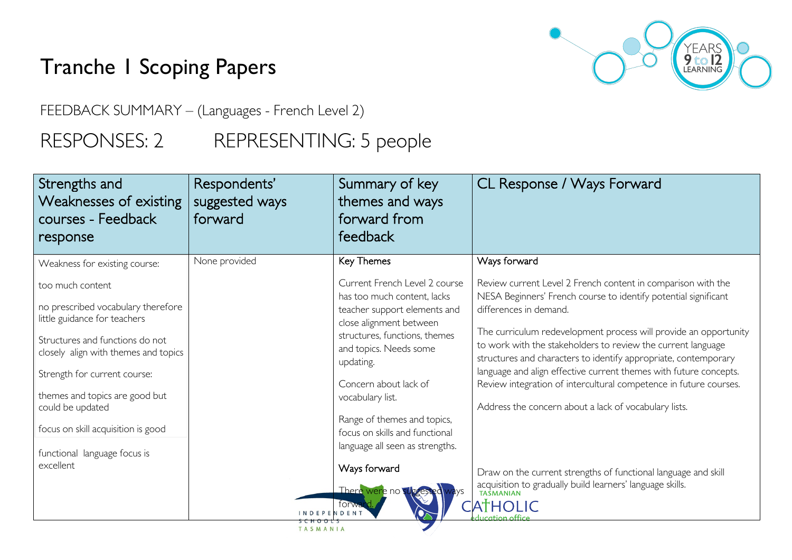## Tranche 1 Scoping Papers

YEARS<br>**9 to 12**<br>LEARNING

FEEDBACK SUMMARY – (Languages - French Level 2)

RESPONSES: 2 REPRESENTING: 5 people

| Strengths and<br><b>Weaknesses of existing</b><br>courses - Feedback<br>response                                                                                                                                                                                                                                              | Respondents'<br>suggested ways<br>forward | Summary of key<br>themes and ways<br>forward from<br>feedback                                                                                                                                                                                                                                                                                    | CL Response / Ways Forward                                                                                                                                                                                                                                                                                                                                                                                                                                                                                                                                          |
|-------------------------------------------------------------------------------------------------------------------------------------------------------------------------------------------------------------------------------------------------------------------------------------------------------------------------------|-------------------------------------------|--------------------------------------------------------------------------------------------------------------------------------------------------------------------------------------------------------------------------------------------------------------------------------------------------------------------------------------------------|---------------------------------------------------------------------------------------------------------------------------------------------------------------------------------------------------------------------------------------------------------------------------------------------------------------------------------------------------------------------------------------------------------------------------------------------------------------------------------------------------------------------------------------------------------------------|
| Weakness for existing course:                                                                                                                                                                                                                                                                                                 | None provided                             | Key Themes                                                                                                                                                                                                                                                                                                                                       | Ways forward                                                                                                                                                                                                                                                                                                                                                                                                                                                                                                                                                        |
| too much content<br>no prescribed vocabulary therefore<br>little guidance for teachers<br>Structures and functions do not<br>closely align with themes and topics<br>Strength for current course:<br>themes and topics are good but<br>could be updated<br>focus on skill acquisition is good<br>functional language focus is |                                           | Current French Level 2 course<br>has too much content, lacks<br>teacher support elements and<br>close alignment between<br>structures, functions, themes<br>and topics. Needs some<br>updating.<br>Concern about lack of<br>vocabulary list.<br>Range of themes and topics,<br>focus on skills and functional<br>language all seen as strengths. | Review current Level 2 French content in comparison with the<br>NESA Beginners' French course to identify potential significant<br>differences in demand.<br>The curriculum redevelopment process will provide an opportunity<br>to work with the stakeholders to review the current language<br>structures and characters to identify appropriate, contemporary<br>language and align effective current themes with future concepts.<br>Review integration of intercultural competence in future courses.<br>Address the concern about a lack of vocabulary lists. |
| excellent                                                                                                                                                                                                                                                                                                                     |                                           | Ways forward<br>There were no<br>lYS                                                                                                                                                                                                                                                                                                             | Draw on the current strengths of functional language and skill<br>acquisition to gradually build learners' language skills.<br>TASMANIAN                                                                                                                                                                                                                                                                                                                                                                                                                            |
|                                                                                                                                                                                                                                                                                                                               | <b>INDEPENDENT</b><br>TASMANIA            | forwa                                                                                                                                                                                                                                                                                                                                            | <b>CATHOLIC</b>                                                                                                                                                                                                                                                                                                                                                                                                                                                                                                                                                     |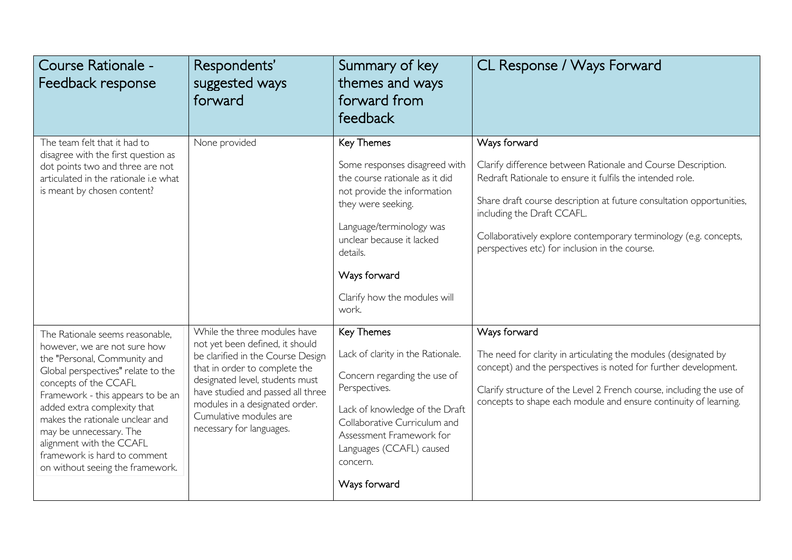| Course Rationale -<br>Feedback response                                                                                                                                                                                                                                                                                                                                                          | Respondents'<br>suggested ways<br>forward                                                                                                                                                                                                                                                             | Summary of key<br>themes and ways<br>forward from<br>feedback                                                                                                                                                                                                    | CL Response / Ways Forward                                                                                                                                                                                                                                                                                                                                            |
|--------------------------------------------------------------------------------------------------------------------------------------------------------------------------------------------------------------------------------------------------------------------------------------------------------------------------------------------------------------------------------------------------|-------------------------------------------------------------------------------------------------------------------------------------------------------------------------------------------------------------------------------------------------------------------------------------------------------|------------------------------------------------------------------------------------------------------------------------------------------------------------------------------------------------------------------------------------------------------------------|-----------------------------------------------------------------------------------------------------------------------------------------------------------------------------------------------------------------------------------------------------------------------------------------------------------------------------------------------------------------------|
| The team felt that it had to<br>disagree with the first question as<br>dot points two and three are not<br>articulated in the rationale i.e what<br>is meant by chosen content?                                                                                                                                                                                                                  | None provided                                                                                                                                                                                                                                                                                         | Key Themes<br>Some responses disagreed with<br>the course rationale as it did<br>not provide the information<br>they were seeking.<br>Language/terminology was<br>unclear because it lacked<br>details.<br>Ways forward<br>Clarify how the modules will<br>work. | Ways forward<br>Clarify difference between Rationale and Course Description.<br>Redraft Rationale to ensure it fulfils the intended role.<br>Share draft course description at future consultation opportunities,<br>including the Draft CCAFL.<br>Collaboratively explore contemporary terminology (e.g. concepts,<br>perspectives etc) for inclusion in the course. |
| The Rationale seems reasonable,<br>however, we are not sure how<br>the "Personal, Community and<br>Global perspectives" relate to the<br>concepts of the CCAFL<br>Framework - this appears to be an<br>added extra complexity that<br>makes the rationale unclear and<br>may be unnecessary. The<br>alignment with the CCAFL<br>framework is hard to comment<br>on without seeing the framework. | While the three modules have<br>not yet been defined, it should<br>be clarified in the Course Design<br>that in order to complete the<br>designated level, students must<br>have studied and passed all three<br>modules in a designated order.<br>Cumulative modules are<br>necessary for languages. | Key Themes<br>Lack of clarity in the Rationale.<br>Concern regarding the use of<br>Perspectives.<br>Lack of knowledge of the Draft<br>Collaborative Curriculum and<br>Assessment Framework for<br>Languages (CCAFL) caused<br>concern.<br>Ways forward           | Ways forward<br>The need for clarity in articulating the modules (designated by<br>concept) and the perspectives is noted for further development.<br>Clarify structure of the Level 2 French course, including the use of<br>concepts to shape each module and ensure continuity of learning.                                                                        |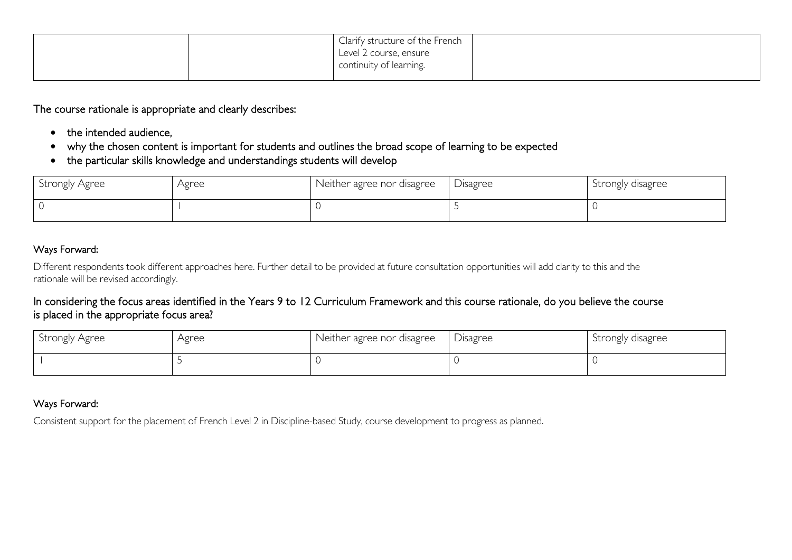|  | Clarify structure of the French<br>Level 2 course, ensure<br>continuity of learning. |  |
|--|--------------------------------------------------------------------------------------|--|
|  |                                                                                      |  |

The course rationale is appropriate and clearly describes:

- the intended audience,
- why the chosen content is important for students and outlines the broad scope of learning to be expected
- the particular skills knowledge and understandings students will develop

| Strongly Agree | Agree | Neither agree nor disagree | Disagree | Strongly disagree |
|----------------|-------|----------------------------|----------|-------------------|
|                |       |                            |          |                   |

## Ways Forward:

Different respondents took different approaches here. Further detail to be provided at future consultation opportunities will add clarity to this and the rationale will be revised accordingly.

## In considering the focus areas identified in the Years 9 to 12 Curriculum Framework and this course rationale, do you believe the course is placed in the appropriate focus area?

| Strongly Agree | Agree | Neither agree nor disagree | Disagree | Strongly disagree |
|----------------|-------|----------------------------|----------|-------------------|
|                |       |                            |          |                   |

## Ways Forward:

Consistent support for the placement of French Level 2 in Discipline-based Study, course development to progress as planned.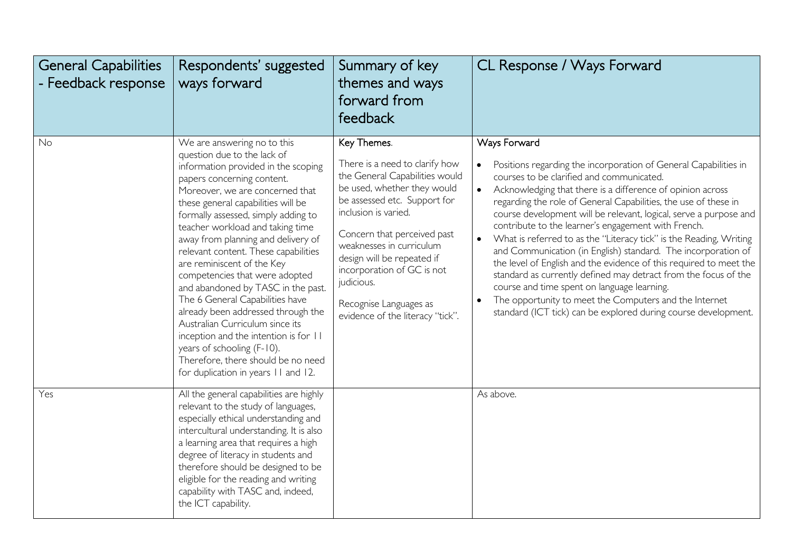| <b>General Capabilities</b><br>Feedback response | Respondents' suggested<br>ways forward                                                                                                                                                                                                                                                                                                                                                                                                                                                                                                                                                                                                                                                                                                  | Summary of key<br>themes and ways<br>forward from<br>feedback                                                                                                                                                                                                                                                                                                             | CL Response / Ways Forward                                                                                                                                                                                                                                                                                                                                                                                                                                                                                                                                                                                                                                                                                                                                                                                                                            |
|--------------------------------------------------|-----------------------------------------------------------------------------------------------------------------------------------------------------------------------------------------------------------------------------------------------------------------------------------------------------------------------------------------------------------------------------------------------------------------------------------------------------------------------------------------------------------------------------------------------------------------------------------------------------------------------------------------------------------------------------------------------------------------------------------------|---------------------------------------------------------------------------------------------------------------------------------------------------------------------------------------------------------------------------------------------------------------------------------------------------------------------------------------------------------------------------|-------------------------------------------------------------------------------------------------------------------------------------------------------------------------------------------------------------------------------------------------------------------------------------------------------------------------------------------------------------------------------------------------------------------------------------------------------------------------------------------------------------------------------------------------------------------------------------------------------------------------------------------------------------------------------------------------------------------------------------------------------------------------------------------------------------------------------------------------------|
| No                                               | We are answering no to this<br>question due to the lack of<br>information provided in the scoping<br>papers concerning content.<br>Moreover, we are concerned that<br>these general capabilities will be<br>formally assessed, simply adding to<br>teacher workload and taking time<br>away from planning and delivery of<br>relevant content. These capabilities<br>are reminiscent of the Key<br>competencies that were adopted<br>and abandoned by TASC in the past.<br>The 6 General Capabilities have<br>already been addressed through the<br>Australian Curriculum since its<br>inception and the intention is for 11<br>years of schooling (F-10).<br>Therefore, there should be no need<br>for duplication in years 11 and 12. | Key Themes.<br>There is a need to clarify how<br>the General Capabilities would<br>be used, whether they would<br>be assessed etc. Support for<br>inclusion is varied.<br>Concern that perceived past<br>weaknesses in curriculum<br>design will be repeated if<br>incorporation of GC is not<br>judicious.<br>Recognise Languages as<br>evidence of the literacy "tick". | Ways Forward<br>Positions regarding the incorporation of General Capabilities in<br>courses to be clarified and communicated.<br>Acknowledging that there is a difference of opinion across<br>regarding the role of General Capabilities, the use of these in<br>course development will be relevant, logical, serve a purpose and<br>contribute to the learner's engagement with French.<br>What is referred to as the "Literacy tick" is the Reading, Writing<br>and Communication (in English) standard. The incorporation of<br>the level of English and the evidence of this required to meet the<br>standard as currently defined may detract from the focus of the<br>course and time spent on language learning.<br>The opportunity to meet the Computers and the Internet<br>standard (ICT tick) can be explored during course development. |
| Yes                                              | All the general capabilities are highly<br>relevant to the study of languages,<br>especially ethical understanding and<br>intercultural understanding. It is also<br>a learning area that requires a high<br>degree of literacy in students and<br>therefore should be designed to be<br>eligible for the reading and writing<br>capability with TASC and, indeed,<br>the ICT capability.                                                                                                                                                                                                                                                                                                                                               |                                                                                                                                                                                                                                                                                                                                                                           | As above.                                                                                                                                                                                                                                                                                                                                                                                                                                                                                                                                                                                                                                                                                                                                                                                                                                             |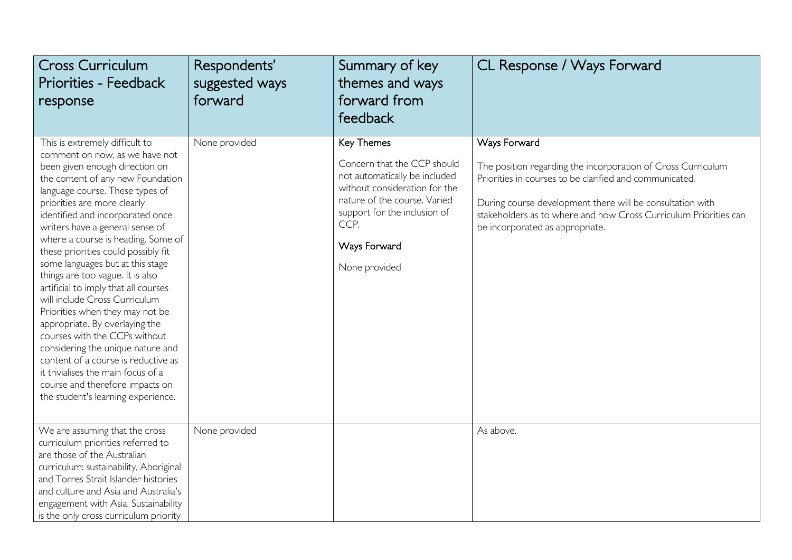| <b>Cross Curriculum</b><br><b>Priorities - Feedback</b><br>response                                                                                                                                                                                                                                                                                                                                                                                                                                                                                                                                                                                                                                                                                                                                             | Respondents'<br>suggested ways<br>forward | Summary of key<br>themes and ways<br>forward from<br>feedback                                                                                                                                                        | CL Response / Ways Forward                                                                                                                                                                                                                                                                                  |
|-----------------------------------------------------------------------------------------------------------------------------------------------------------------------------------------------------------------------------------------------------------------------------------------------------------------------------------------------------------------------------------------------------------------------------------------------------------------------------------------------------------------------------------------------------------------------------------------------------------------------------------------------------------------------------------------------------------------------------------------------------------------------------------------------------------------|-------------------------------------------|----------------------------------------------------------------------------------------------------------------------------------------------------------------------------------------------------------------------|-------------------------------------------------------------------------------------------------------------------------------------------------------------------------------------------------------------------------------------------------------------------------------------------------------------|
| This is extremely difficult to<br>comment on now, as we have not<br>been given enough direction on<br>the content of any new Foundation<br>language course. These types of<br>priorities are more clearly<br>identified and incorporated once<br>writers have a general sense of<br>where a course is heading. Some of<br>these priorities could possibly fit<br>some languages but at this stage<br>things are too vague. It is also<br>artificial to imply that all courses<br>will include Cross Curriculum<br>Priorities when they may not be<br>appropriate. By overlaying the<br>courses with the CCPs without<br>considering the unique nature and<br>content of a course is reductive as<br>it trivialises the main focus of a<br>course and therefore impacts on<br>the student's learning experience. | None provided                             | Key Themes<br>Concern that the CCP should<br>not automatically be included<br>without consideration for the<br>nature of the course. Varied<br>support for the inclusion of<br>CCP.<br>Ways Forward<br>None provided | Ways Forward<br>The position regarding the incorporation of Cross Curriculum<br>Priorities in courses to be clarified and communicated.<br>During course development there will be consultation with<br>stakeholders as to where and how Cross Curriculum Priorities can<br>be incorporated as appropriate. |
| We are assuming that the cross<br>curriculum priorities referred to<br>are those of the Australian<br>curriculum: sustainability, Aboriginal<br>and Torres Strait Islander histories<br>and culture and Asia and Australia's<br>engagement with Asia. Sustainability<br>is the only cross curriculum priority                                                                                                                                                                                                                                                                                                                                                                                                                                                                                                   | None provided                             |                                                                                                                                                                                                                      | As above.                                                                                                                                                                                                                                                                                                   |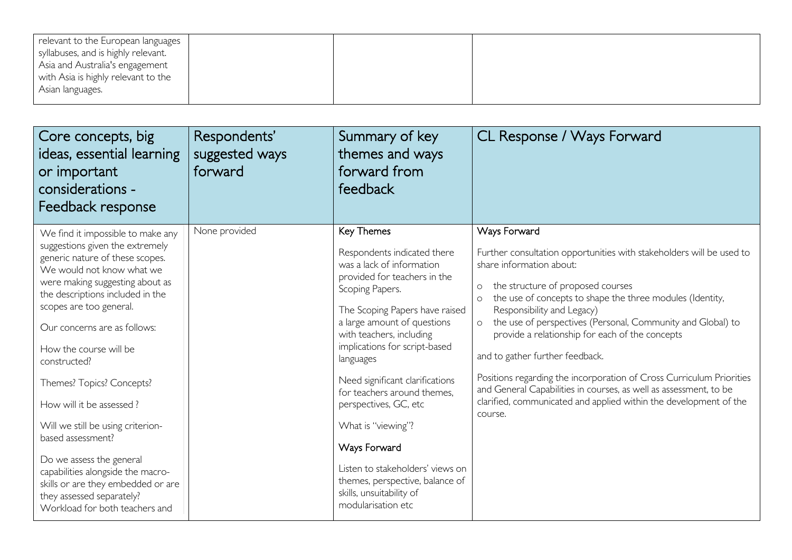| relevant to the European languages  |  |  |
|-------------------------------------|--|--|
| syllabuses, and is highly relevant. |  |  |
| Asia and Australia's engagement     |  |  |
| with Asia is highly relevant to the |  |  |
| Asian languages.                    |  |  |
|                                     |  |  |

| Core concepts, big<br>ideas, essential learning<br>or important<br>considerations -<br>Feedback response                                                                                                                                                                                                                                                                                                                                                                                                                                                                                                  | Respondents'<br>suggested ways<br>forward | Summary of key<br>themes and ways<br>forward from<br>feedback                                                                                                                                                                                                                                                                                                                                                                                                                                                                  | CL Response / Ways Forward                                                                                                                                                                                                                                                                                                                                                                                                                                                                                                                                                                                                                                          |
|-----------------------------------------------------------------------------------------------------------------------------------------------------------------------------------------------------------------------------------------------------------------------------------------------------------------------------------------------------------------------------------------------------------------------------------------------------------------------------------------------------------------------------------------------------------------------------------------------------------|-------------------------------------------|--------------------------------------------------------------------------------------------------------------------------------------------------------------------------------------------------------------------------------------------------------------------------------------------------------------------------------------------------------------------------------------------------------------------------------------------------------------------------------------------------------------------------------|---------------------------------------------------------------------------------------------------------------------------------------------------------------------------------------------------------------------------------------------------------------------------------------------------------------------------------------------------------------------------------------------------------------------------------------------------------------------------------------------------------------------------------------------------------------------------------------------------------------------------------------------------------------------|
| We find it impossible to make any<br>suggestions given the extremely<br>generic nature of these scopes.<br>We would not know what we<br>were making suggesting about as<br>the descriptions included in the<br>scopes are too general.<br>Our concerns are as follows:<br>How the course will be<br>constructed?<br>Themes? Topics? Concepts?<br>How will it be assessed?<br>Will we still be using criterion-<br>based assessment?<br>Do we assess the general<br>capabilities alongside the macro-<br>skills or are they embedded or are<br>they assessed separately?<br>Workload for both teachers and | None provided                             | Key Themes<br>Respondents indicated there<br>was a lack of information<br>provided for teachers in the<br>Scoping Papers.<br>The Scoping Papers have raised<br>a large amount of questions<br>with teachers, including<br>implications for script-based<br>languages<br>Need significant clarifications<br>for teachers around themes,<br>perspectives, GC, etc<br>What is "viewing"?<br>Ways Forward<br>Listen to stakeholders' views on<br>themes, perspective, balance of<br>skills, unsuitability of<br>modularisation etc | Ways Forward<br>Further consultation opportunities with stakeholders will be used to<br>share information about:<br>the structure of proposed courses<br>$\circ$<br>the use of concepts to shape the three modules (Identity,<br>$\circ$<br>Responsibility and Legacy)<br>the use of perspectives (Personal, Community and Global) to<br>$\circ$<br>provide a relationship for each of the concepts<br>and to gather further feedback.<br>Positions regarding the incorporation of Cross Curriculum Priorities<br>and General Capabilities in courses, as well as assessment, to be<br>clarified, communicated and applied within the development of the<br>course. |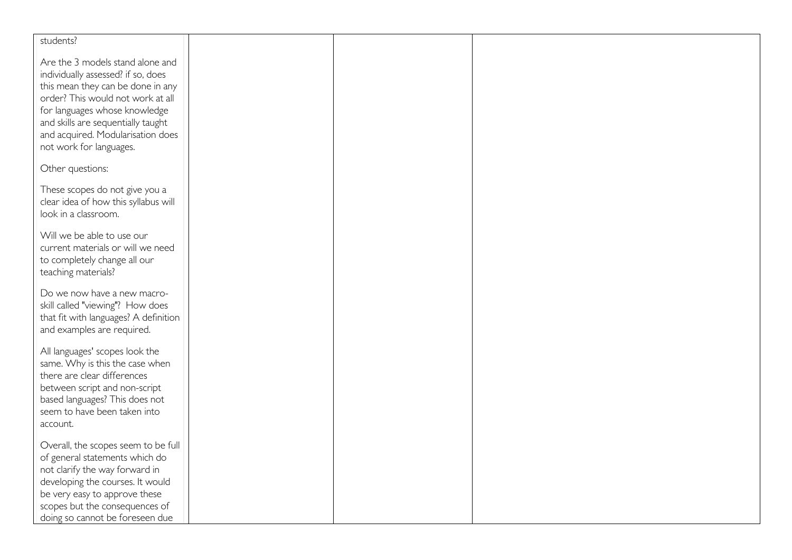| students?                                                                                                                                                                                                                                                                               |  |  |
|-----------------------------------------------------------------------------------------------------------------------------------------------------------------------------------------------------------------------------------------------------------------------------------------|--|--|
| Are the 3 models stand alone and<br>individually assessed? if so, does<br>this mean they can be done in any<br>order? This would not work at all<br>for languages whose knowledge<br>and skills are sequentially taught<br>and acquired. Modularisation does<br>not work for languages. |  |  |
| Other questions:                                                                                                                                                                                                                                                                        |  |  |
| These scopes do not give you a<br>clear idea of how this syllabus will<br>look in a classroom.                                                                                                                                                                                          |  |  |
| Will we be able to use our<br>current materials or will we need<br>to completely change all our<br>teaching materials?                                                                                                                                                                  |  |  |
| Do we now have a new macro-<br>skill called "viewing"? How does<br>that fit with languages? A definition<br>and examples are required.                                                                                                                                                  |  |  |
| All languages' scopes look the<br>same. Why is this the case when<br>there are clear differences<br>between script and non-script<br>based languages? This does not<br>seem to have been taken into<br>account.                                                                         |  |  |
| Overall, the scopes seem to be full<br>of general statements which do<br>not clarify the way forward in<br>developing the courses. It would<br>be very easy to approve these<br>scopes but the consequences of<br>doing so cannot be foreseen due                                       |  |  |